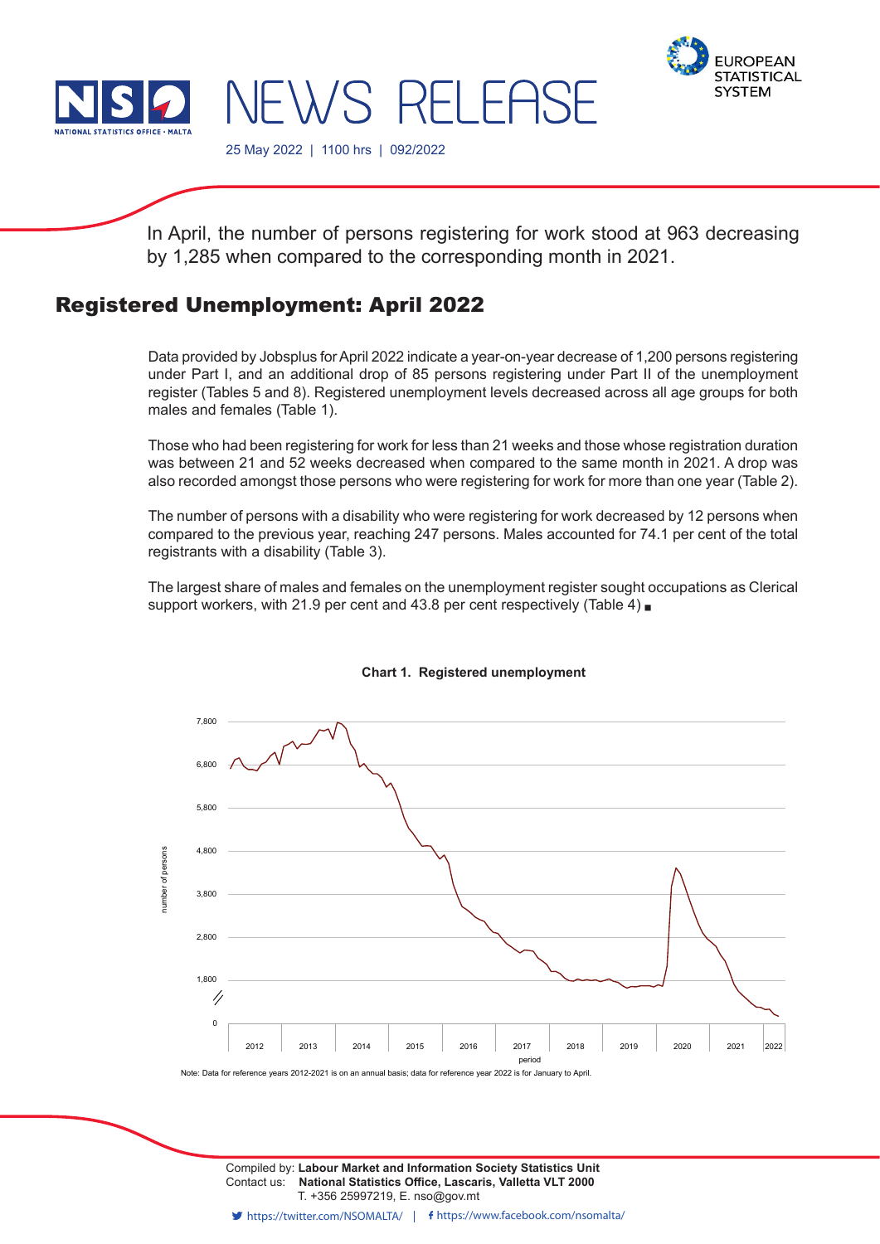



25 May 2022 | 1100 hrs | 092/2022

In April, the number of persons registering for work stood at 963 decreasing by 1,285 when compared to the corresponding month in 2021.

**EWS RELEASE** 

# Registered Unemployment: April 2022

Data provided by Jobsplus for April 2022 indicate a year-on-year decrease of 1,200 persons registering under Part I, and an additional drop of 85 persons registering under Part II of the unemployment register (Tables 5 and 8). Registered unemployment levels decreased across all age groups for both males and females (Table 1).

Those who had been registering for work for less than 21 weeks and those whose registration duration was between 21 and 52 weeks decreased when compared to the same month in 2021. A drop was also recorded amongst those persons who were registering for work for more than one year (Table 2).

The number of persons with a disability who were registering for work decreased by 12 persons when compared to the previous year, reaching 247 persons. Males accounted for 74.1 per cent of the total registrants with a disability (Table 3).

The largest share of males and females on the unemployment register sought occupations as Clerical support workers, with 21.9 per cent and 43.8 per cent respectively (Table 4)



## **Chart 1. Registered unemployment**

Contact us: **National Statistics Office, Lascaris, Valletta VLT 2000** T. +356 25997219, E. nso@gov.mt Compiled by: **Labour Market and Information Society Statistics Unit**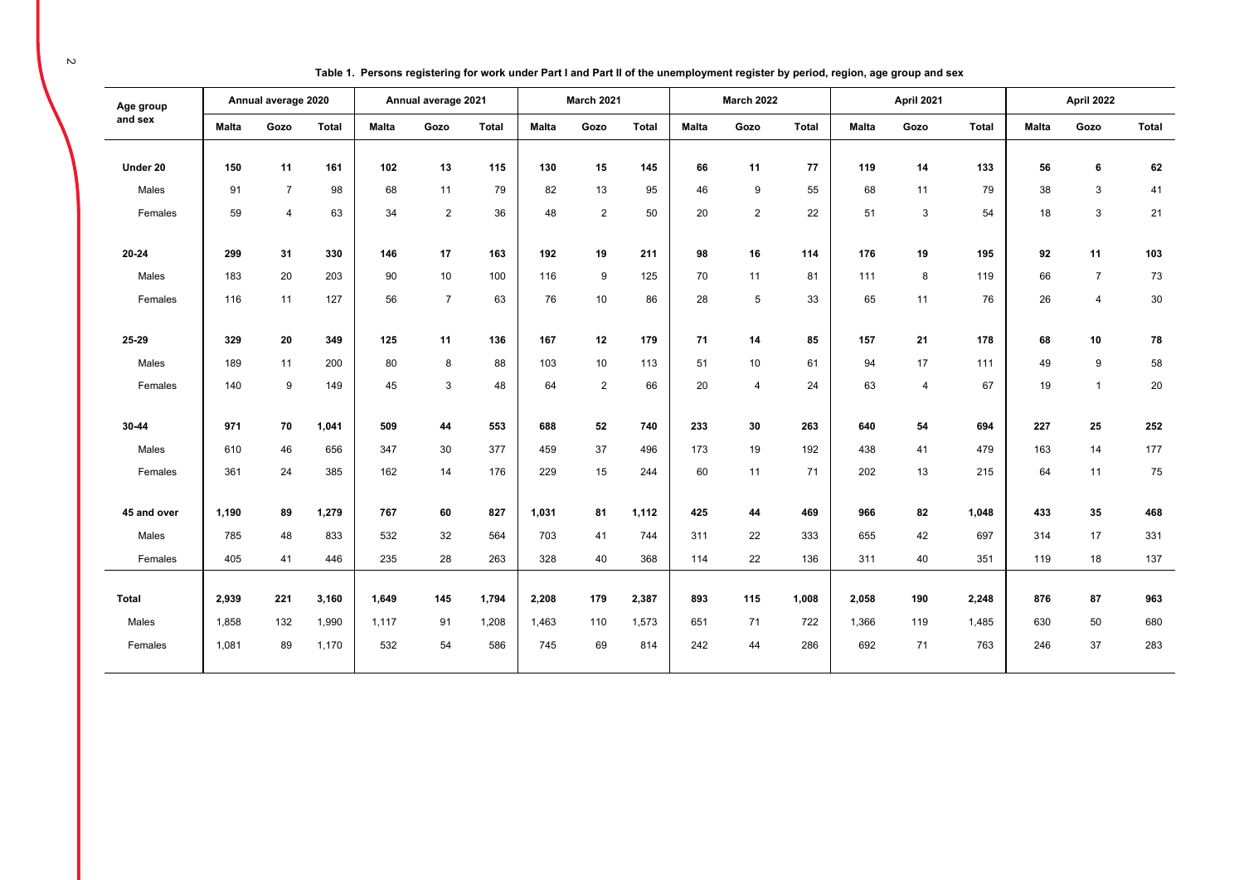| Age group   |              | Annual average 2020 |       |              | Annual average 2021 |              |              | March 2021     |              |              | <b>March 2022</b> |              |              | April 2021     |              |              | April 2022     |              |
|-------------|--------------|---------------------|-------|--------------|---------------------|--------------|--------------|----------------|--------------|--------------|-------------------|--------------|--------------|----------------|--------------|--------------|----------------|--------------|
| and sex     | <b>Malta</b> | Gozo                | Total | <b>Malta</b> | Gozo                | <b>Total</b> | <b>Malta</b> | Gozo           | <b>Total</b> | <b>Malta</b> | Gozo              | <b>Total</b> | <b>Malta</b> | Gozo           | <b>Total</b> | <b>Malta</b> | Gozo           | <b>Total</b> |
|             |              |                     |       |              |                     |              |              |                |              |              |                   |              |              |                |              |              |                |              |
| Under 20    | 150          | 11                  | 161   | 102          | 13                  | 115          | 130          | 15             | 145          | 66           | 11                | 77           | 119          | 14             | 133          | 56           | 6              | 62           |
| Males       | 91           | $\overline{7}$      | 98    | 68           | 11                  | 79           | 82           | 13             | 95           | 46           | 9                 | 55           | 68           | 11             | 79           | 38           | $\mathbf{3}$   | 41           |
| Females     | 59           | $\overline{4}$      | 63    | 34           | $\overline{2}$      | 36           | 48           | $\overline{2}$ | 50           | 20           | 2                 | 22           | 51           | 3              | 54           | 18           | 3              | 21           |
| 20-24       | 299          | 31                  | 330   | 146          | 17                  | 163          | 192          | 19             | 211          | 98           | 16                | 114          | 176          | 19             | 195          | 92           | 11             | 103          |
| Males       | 183          | 20                  | 203   | 90           | 10                  | 100          | 116          | 9              | 125          | 70           | 11                | 81           | 111          | 8              | 119          | 66           | $\overline{7}$ | 73           |
| Females     | 116          | 11                  | 127   | 56           | $\overline{7}$      | 63           | 76           | 10             | 86           | 28           | 5                 | 33           | 65           | 11             | 76           | 26           | $\overline{4}$ | 30           |
|             |              |                     |       |              |                     |              |              |                |              |              |                   |              |              |                |              |              |                |              |
| 25-29       | 329          | 20                  | 349   | 125          | 11                  | 136          | 167          | 12             | 179          | 71           | 14                | 85           | 157          | 21             | 178          | 68           | 10             | 78           |
| Males       | 189          | 11                  | 200   | 80           | 8                   | 88           | 103          | 10             | 113          | 51           | 10                | 61           | 94           | 17             | 111          | 49           | 9              | 58           |
| Females     | 140          | 9                   | 149   | 45           | 3                   | 48           | 64           | $\overline{2}$ | 66           | 20           | 4                 | 24           | 63           | $\overline{4}$ | 67           | 19           | $\mathbf{1}$   | 20           |
|             |              |                     |       |              |                     |              |              |                |              |              |                   |              |              |                |              |              |                |              |
| 30-44       | 971          | 70                  | 1,041 | 509          | 44                  | 553          | 688          | 52             | 740          | 233          | 30                | 263          | 640          | 54             | 694          | 227          | 25             | 252          |
| Males       | 610          | 46                  | 656   | 347          | 30                  | 377          | 459          | 37             | 496          | 173          | 19                | 192          | 438          | 41             | 479          | 163          | 14             | 177          |
| Females     | 361          | 24                  | 385   | 162          | 14                  | 176          | 229          | 15             | 244          | 60           | 11                | 71           | 202          | 13             | 215          | 64           | 11             | 75           |
|             |              |                     |       |              |                     |              |              |                |              |              |                   |              |              |                |              |              |                |              |
| 45 and over | 1,190        | 89                  | 1,279 | 767          | 60                  | 827          | 1,031        | 81             | 1,112        | 425          | 44                | 469          | 966          | 82             | 1,048        | 433          | 35             | 468          |
| Males       | 785          | 48                  | 833   | 532          | 32                  | 564          | 703          | 41             | 744          | 311          | 22                | 333          | 655          | 42             | 697          | 314          | 17             | 331          |
| Females     | 405          | 41                  | 446   | 235          | 28                  | 263          | 328          | 40             | 368          | 114          | 22                | 136          | 311          | 40             | 351          | 119          | 18             | 137          |
|             |              |                     |       |              |                     |              |              |                |              |              |                   |              |              |                |              |              |                |              |
| Total       | 2.939        | 221                 | 3,160 | 1.649        | 145                 | 1,794        | 2,208        | 179            | 2,387        | 893          | 115               | 1,008        | 2.058        | 190            | 2.248        | 876          | 87             | 963          |
| Males       | 1,858        | 132                 | 1,990 | 1,117        | 91                  | 1,208        | 1,463        | 110            | 1,573        | 651          | 71                | 722          | 1,366        | 119            | 1,485        | 630          | 50             | 680          |
| Females     | 1,081        | 89                  | 1,170 | 532          | 54                  | 586          | 745          | 69             | 814          | 242          | 44                | 286          | 692          | 71             | 763          | 246          | 37             | 283          |
|             |              |                     |       |              |                     |              |              |                |              |              |                   |              |              |                |              |              |                |              |

**Table 1. Persons registering for work under Part I and Part II of the unemployment register by period, region, age group and sex**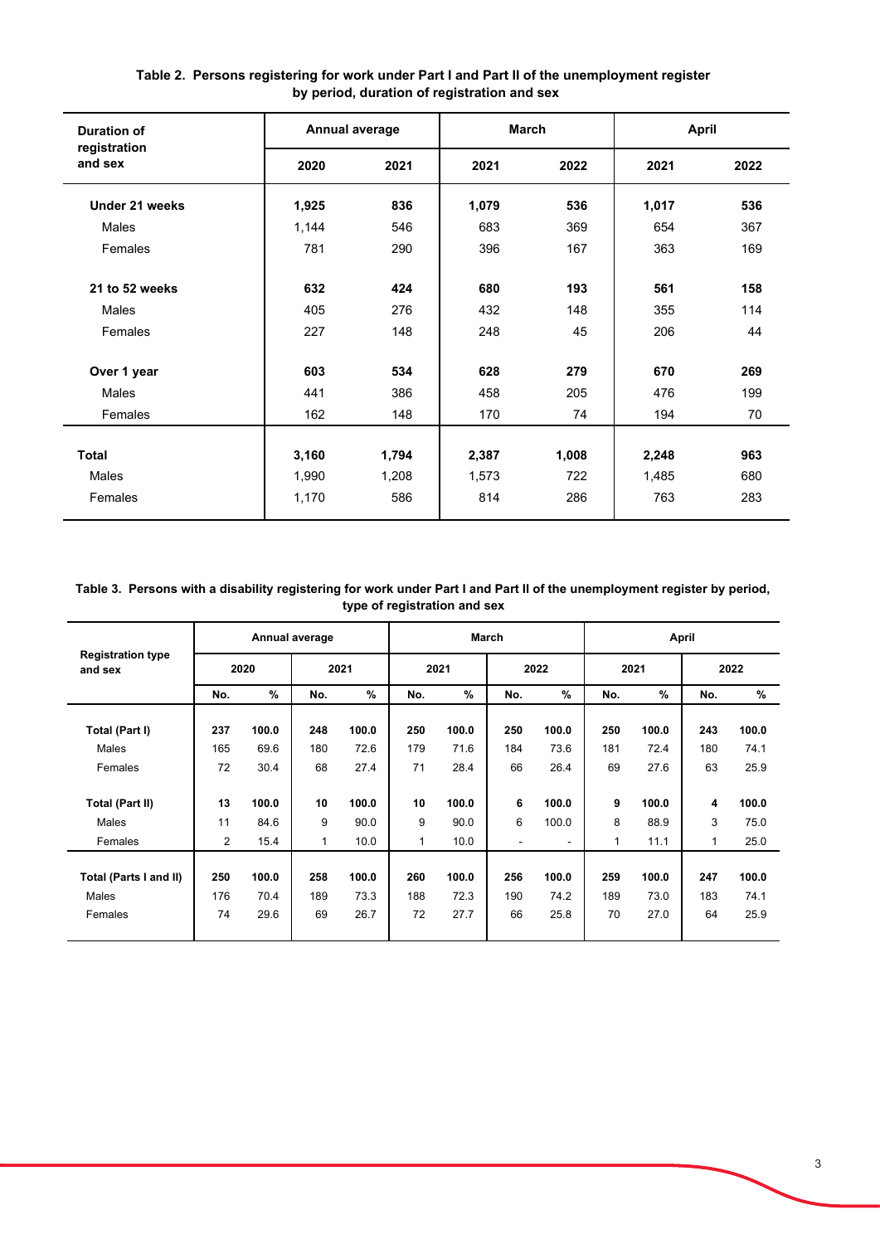| <b>Duration of</b>      |       | Annual average | <b>March</b> |       | April |      |
|-------------------------|-------|----------------|--------------|-------|-------|------|
| registration<br>and sex | 2020  | 2021           | 2021         | 2022  | 2021  | 2022 |
| Under 21 weeks          | 1,925 | 836            | 1,079        | 536   | 1,017 | 536  |
| Males                   | 1,144 | 546            | 683          | 369   | 654   | 367  |
| Females                 | 781   | 290            | 396          | 167   | 363   | 169  |
| 21 to 52 weeks          | 632   | 424            | 680          | 193   | 561   | 158  |
| <b>Males</b>            | 405   | 276            | 432          | 148   | 355   | 114  |
| Females                 | 227   | 148            | 248          | 45    | 206   | 44   |
| Over 1 year             | 603   | 534            | 628          | 279   | 670   | 269  |
| Males                   | 441   | 386            | 458          | 205   | 476   | 199  |
| Females                 | 162   | 148            | 170          | 74    | 194   | 70   |
|                         |       |                |              |       |       |      |
| <b>Total</b>            | 3,160 | 1,794          | 2,387        | 1,008 | 2,248 | 963  |
| Males                   | 1,990 | 1,208          | 1,573        | 722   | 1,485 | 680  |
| Females                 | 1,170 | 586            | 814          | 286   | 763   | 283  |

**Table 2. Persons registering for work under Part I and Part II of the unemployment register by period, duration of registration and sex**

### **Table 3. Persons with a disability registering for work under Part I and Part II of the unemployment register by period, type of registration and sex**

|                                     |     |       | Annual average |       |     |       | <b>March</b>   |                |     |       | April |       |
|-------------------------------------|-----|-------|----------------|-------|-----|-------|----------------|----------------|-----|-------|-------|-------|
| <b>Registration type</b><br>and sex |     | 2020  |                | 2021  |     | 2021  |                | 2022           |     | 2021  |       | 2022  |
|                                     | No. | %     | No.            | $\%$  | No. | %     | No.            | %              | No. | $\%$  | No.   | %     |
| Total (Part I)                      | 237 | 100.0 | 248            | 100.0 | 250 | 100.0 | 250            | 100.0          | 250 | 100.0 | 243   | 100.0 |
| Males                               | 165 | 69.6  | 180            | 72.6  | 179 | 71.6  | 184            | 73.6           | 181 | 72.4  | 180   | 74.1  |
| Females                             | 72  | 30.4  | 68             | 27.4  | 71  | 28.4  | 66             | 26.4           | 69  | 27.6  | 63    | 25.9  |
|                                     |     |       |                |       |     |       |                |                |     |       |       |       |
| <b>Total (Part II)</b>              | 13  | 100.0 | 10             | 100.0 | 10  | 100.0 | 6              | 100.0          | 9   | 100.0 | 4     | 100.0 |
| Males                               | 11  | 84.6  | 9              | 90.0  | 9   | 90.0  | 6              | 100.0          | 8   | 88.9  | 3     | 75.0  |
| Females                             | 2   | 15.4  | $\mathbf{1}$   | 10.0  | 1   | 10.0  | $\blacksquare$ | $\blacksquare$ | 1   | 11.1  | 1     | 25.0  |
|                                     |     |       |                |       |     |       |                |                |     |       |       |       |
| Total (Parts I and II)              | 250 | 100.0 | 258            | 100.0 | 260 | 100.0 | 256            | 100.0          | 259 | 100.0 | 247   | 100.0 |
| Males                               | 176 | 70.4  | 189            | 73.3  | 188 | 72.3  | 190            | 74.2           | 189 | 73.0  | 183   | 74.1  |
| Females                             | 74  | 29.6  | 69             | 26.7  | 72  | 27.7  | 66             | 25.8           | 70  | 27.0  | 64    | 25.9  |
|                                     |     |       |                |       |     |       |                |                |     |       |       |       |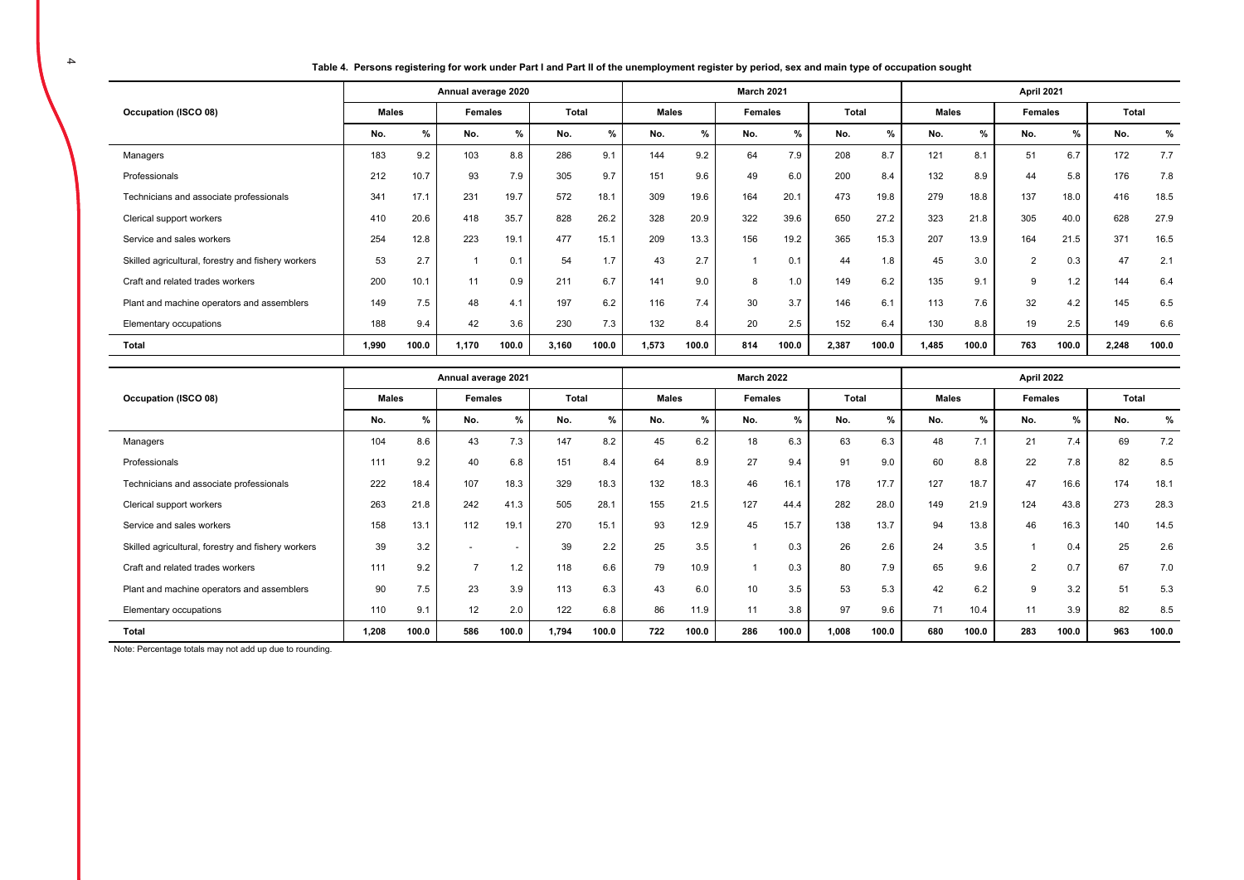**Table 4. Persons registering for work under Part I and Part II of the unemployment register by period, sex and main type of occupation sought** 

|                                                    |       |       | Annual average 2020 |       |       |       |              |       | March 2021 |       |       |               |              |       | April 2021     |               |       |       |
|----------------------------------------------------|-------|-------|---------------------|-------|-------|-------|--------------|-------|------------|-------|-------|---------------|--------------|-------|----------------|---------------|-------|-------|
| Occupation (ISCO 08)                               | Males |       | Females             |       | Total |       | <b>Males</b> |       | Females    |       | Total |               | <b>Males</b> |       | <b>Females</b> |               | Total |       |
|                                                    | No.   | $\%$  | No.                 | %     | No.   | %     | No.          | %     | No.        | %     | No.   | $\frac{9}{6}$ | No.          | %     | No.            | $\frac{9}{6}$ | No.   | %     |
| Managers                                           | 183   | 9.2   | 103                 | 8.8   | 286   | 9.1   | 144          | 9.2   | 64         | 7.9   | 208   | 8.7           | 121          | 8.1   | 51             | 6.7           | 172   | 7.7   |
| Professionals                                      | 212   | 10.7  | 93                  | 7.9   | 305   | 9.7   | 151          | 9.6   | 49         | 6.0   | 200   | 8.4           | 132          | 8.9   | 44             | 5.8           | 176   | 7.8   |
| Technicians and associate professionals            | 341   | 17.1  | 231                 | 19.7  | 572   | 18.1  | 309          | 19.6  | 164        | 20.1  | 473   | 19.8          | 279          | 18.8  | 137            | 18.0          | 416   | 18.5  |
| Clerical support workers                           | 410   | 20.6  | 418                 | 35.7  | 828   | 26.2  | 328          | 20.9  | 322        | 39.6  | 650   | 27.2          | 323          | 21.8  | 305            | 40.0          | 628   | 27.9  |
| Service and sales workers                          | 254   | 12.8  | 223                 | 19.1  | 477   | 15.1  | 209          | 13.3  | 156        | 19.2  | 365   | 15.3          | 207          | 13.9  | 164            | 21.5          | 371   | 16.5  |
| Skilled agricultural, forestry and fishery workers | 53    | 2.7   |                     | 0.1   | 54    | 1.7   | 43           | 2.7   |            | 0.1   | 44    | 1.8           | 45           | 3.0   | $\overline{2}$ | 0.3           | 47    | 2.1   |
| Craft and related trades workers                   | 200   | 10.1  | 11                  | 0.9   | 211   | 6.7   | 141          | 9.0   | 8          | 1.0   | 149   | 6.2           | 135          | 9.1   | 9              | 1.2           | 144   | 6.4   |
| Plant and machine operators and assemblers         | 149   | 7.5   | 48                  | 4.1   | 197   | 6.2   | 116          | 7.4   | 30         | 3.7   | 146   | 6.1           | 113          | 7.6   | 32             | 4.2           | 145   | 6.5   |
| Elementary occupations                             | 188   | 9.4   | 42                  | 3.6   | 230   | 7.3   | 132          | 8.4   | 20         | 2.5   | 152   | 6.4           | 130          | 8.8   | 19             | 2.5           | 149   | 6.6   |
| Total                                              | 1,990 | 100.0 | 1,170               | 100.0 | 3,160 | 100.0 | 1,573        | 100.0 | 814        | 100.0 | 2,387 | 100.0         | 1,485        | 100.0 | 763            | 100.0         | 2,248 | 100.0 |

|                                                    |              |       | Annual average 2021 |                          |       |       |              |       | <b>March 2022</b> |       |              |       |              |       | April 2022     |       |       |       |
|----------------------------------------------------|--------------|-------|---------------------|--------------------------|-------|-------|--------------|-------|-------------------|-------|--------------|-------|--------------|-------|----------------|-------|-------|-------|
| Occupation (ISCO 08)                               | <b>Males</b> |       | <b>Females</b>      |                          | Total |       | <b>Males</b> |       | Females           |       | <b>Total</b> |       | <b>Males</b> |       | Females        |       | Total |       |
|                                                    | No.          | %     | No.                 | %                        | No.   | %     | No.          | %     | No.               | %     | No.          | %     | No.          | %     | No.            | %     | No.   | %     |
| Managers                                           | 104          | 8.6   | 43                  | 7.3                      | 147   | 8.2   | 45           | 6.2   | 18                | 6.3   | 63           | 6.3   | 48           | 7.1   | 21             | 7.4   | 69    | 7.2   |
| Professionals                                      | 111          | 9.2   | 40                  | 6.8                      | 151   | 8.4   | 64           | 8.9   | 27                | 9.4   | 91           | 9.0   | 60           | 8.8   | 22             | 7.8   | 82    | 8.5   |
| Technicians and associate professionals            | 222          | 18.4  | 107                 | 18.3                     | 329   | 18.3  | 132          | 18.3  | 46                | 16.1  | 178          | 17.7  | 127          | 18.7  | 47             | 16.6  | 174   | 18.1  |
| Clerical support workers                           | 263          | 21.8  | 242                 | 41.3                     | 505   | 28.1  | 155          | 21.5  | 127               | 44.4  | 282          | 28.0  | 149          | 21.9  | 124            | 43.8  | 273   | 28.3  |
| Service and sales workers                          | 158          | 13.1  | 112                 | 19.1                     | 270   | 15.1  | 93           | 12.9  | 45                | 15.7  | 138          | 13.7  | 94           | 13.8  | 46             | 16.3  | 140   | 14.5  |
| Skilled agricultural, forestry and fishery workers | 39           | 3.2   |                     | $\overline{\phantom{a}}$ | 39    | 2.2   | 25           | 3.5   |                   | 0.3   | 26           | 2.6   | 24           | 3.5   |                | 0.4   | 25    | 2.6   |
| Craft and related trades workers                   | 111          | 9.2   | <b>–</b>            | 1.2                      | 118   | 6.6   | 79           | 10.9  |                   | 0.3   | 80           | 7.9   | 65           | 9.6   | $\overline{2}$ | 0.7   | 67    | 7.0   |
| Plant and machine operators and assemblers         | 90           | 7.5   | 23                  | 3.9                      | 113   | 6.3   | 43           | 6.0   | 10                | 3.5   | 53           | 5.3   | 42           | 6.2   | 9              | 3.2   | 51    | 5.3   |
| Elementary occupations                             | 110          | 9.1   | 12                  | 2.0                      | 122   | 6.8   | 86           | 11.9  | 11                | 3.8   | 97           | 9.6   | 71           | 10.4  | 11             | 3.9   | 82    | 8.5   |
| Total                                              | 1,208        | 100.0 | 586                 | 100.0                    | 1,794 | 100.0 | 722          | 100.0 | 286               | 100.0 | 1.008        | 100.0 | 680          | 100.0 | 283            | 100.0 | 963   | 100.0 |

Note: Percentage totals may not add up due to rounding.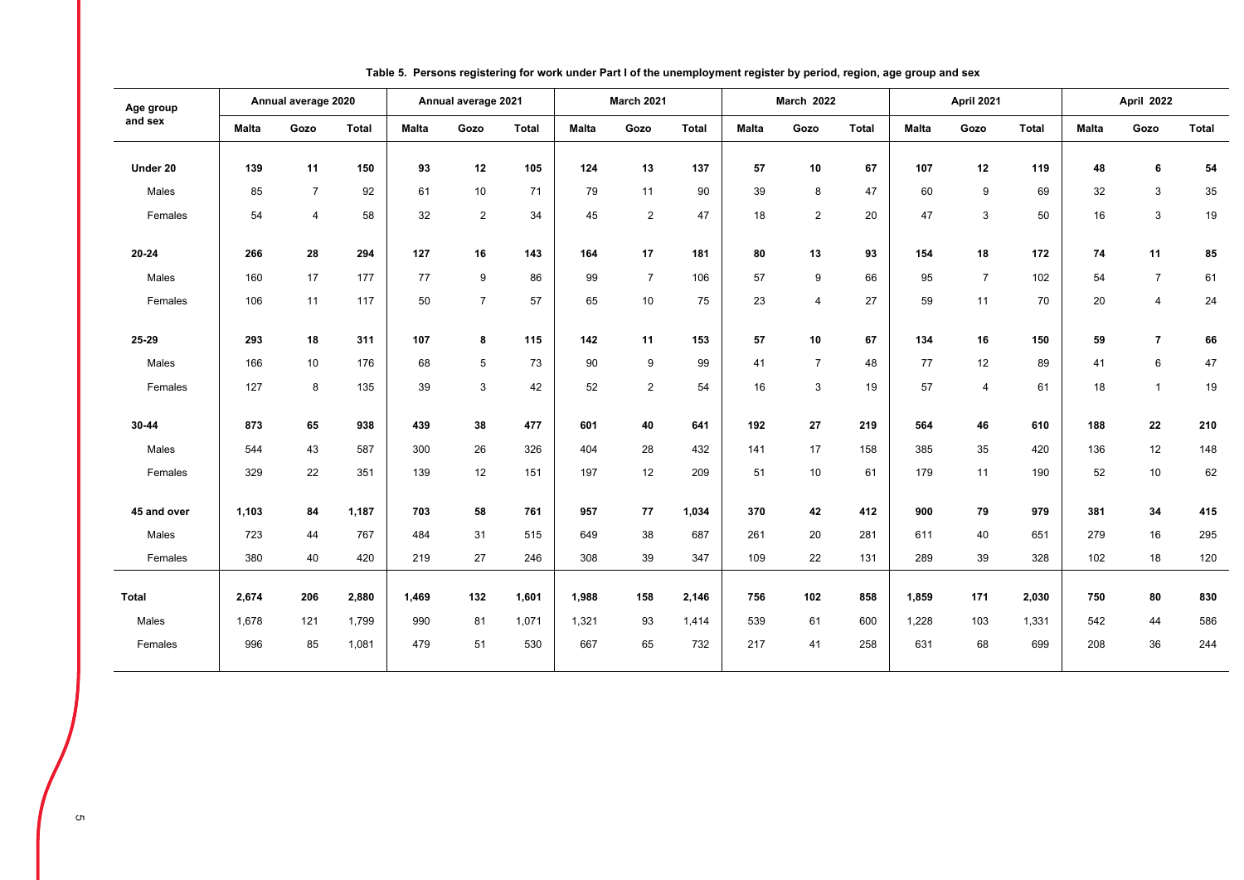| Age group    |              | Annual average 2020 |              |              | Annual average 2021 |              |              | <b>March 2021</b> |              |              | <b>March 2022</b> |              |              | April 2021     |              |              | April 2022     |              |
|--------------|--------------|---------------------|--------------|--------------|---------------------|--------------|--------------|-------------------|--------------|--------------|-------------------|--------------|--------------|----------------|--------------|--------------|----------------|--------------|
| and sex      | <b>Malta</b> | Gozo                | <b>Total</b> | <b>Malta</b> | Gozo                | <b>Total</b> | <b>Malta</b> | Gozo              | <b>Total</b> | <b>Malta</b> | Gozo              | <b>Total</b> | <b>Malta</b> | Gozo           | <b>Total</b> | <b>Malta</b> | Gozo           | <b>Total</b> |
| Under 20     | 139          | 11                  | 150          | 93           | 12                  | 105          | 124          | 13                | 137          | 57           | 10                | 67           | 107          | 12             | 119          | 48           | 6              | 54           |
| Males        | 85           | $\overline{7}$      | 92           | 61           | 10                  | 71           | 79           | 11                | 90           | 39           | 8                 | 47           | 60           | 9              | 69           | 32           | 3              | $35\,$       |
| Females      | 54           | $\overline{4}$      | 58           | 32           | $\overline{2}$      | 34           | 45           | $\overline{2}$    | 47           | 18           | 2                 | 20           | 47           | 3              | 50           | 16           | 3              | 19           |
| $20 - 24$    | 266          | 28                  | 294          | 127          | 16                  | 143          | 164          | 17                | 181          | 80           | 13                | 93           | 154          | 18             | 172          | 74           | 11             | 85           |
| Males        | 160          | 17                  | 177          | 77           | 9                   | 86           | 99           | $\overline{7}$    | 106          | 57           | $\boldsymbol{9}$  | 66           | 95           | $\overline{7}$ | 102          | 54           | $\overline{7}$ | 61           |
| Females      | 106          | 11                  | 117          | 50           | $\overline{7}$      | 57           | 65           | 10                | 75           | 23           | $\overline{4}$    | 27           | 59           | 11             | 70           | 20           | $\overline{4}$ | 24           |
| 25-29        | 293          | 18                  | 311          | 107          | 8                   | 115          | 142          | 11                | 153          | 57           | 10                | 67           | 134          | 16             | 150          | 59           | $\overline{7}$ | 66           |
| Males        | 166          | 10                  | 176          | 68           | 5                   | 73           | 90           | 9                 | 99           | 41           | $\overline{7}$    | 48           | 77           | 12             | 89           | 41           | 6              | 47           |
| Females      | 127          | 8                   | 135          | 39           | 3                   | 42           | 52           | $\overline{2}$    | 54           | 16           | 3                 | 19           | 57           | $\overline{4}$ | 61           | 18           | $\overline{1}$ | 19           |
| 30-44        | 873          | 65                  | 938          | 439          | 38                  | 477          | 601          | 40                | 641          | 192          | 27                | 219          | 564          | 46             | 610          | 188          | 22             | 210          |
| Males        | 544          | 43                  | 587          | 300          | 26                  | 326          | 404          | 28                | 432          | 141          | 17                | 158          | 385          | 35             | 420          | 136          | 12             | 148          |
| Females      | 329          | 22                  | 351          | 139          | 12                  | 151          | 197          | 12                | 209          | 51           | 10                | 61           | 179          | 11             | 190          | 52           | 10             | 62           |
| 45 and over  | 1.103        | 84                  | 1,187        | 703          | 58                  | 761          | 957          | 77                | 1,034        | 370          | 42                | 412          | 900          | 79             | 979          | 381          | 34             | 415          |
| Males        | 723          | 44                  | 767          | 484          | 31                  | 515          | 649          | 38                | 687          | 261          | 20                | 281          | 611          | 40             | 651          | 279          | 16             | 295          |
| Females      | 380          | 40                  | 420          | 219          | 27                  | 246          | 308          | 39                | 347          | 109          | 22                | 131          | 289          | 39             | 328          | 102          | 18             | 120          |
|              |              |                     |              |              |                     |              |              |                   |              |              |                   |              |              |                |              |              |                |              |
| <b>Total</b> | 2,674        | 206                 | 2,880        | 1,469        | 132                 | 1,601        | 1,988        | 158               | 2,146        | 756          | 102               | 858          | 1,859        | 171            | 2,030        | 750          | 80             | 830          |
| Males        | 1,678        | 121                 | 1,799        | 990          | 81                  | 1,071        | 1,321        | 93                | 1,414        | 539          | 61                | 600          | 1,228        | 103            | 1,331        | 542          | 44             | 586          |
| Females      | 996          | 85                  | 1,081        | 479          | 51                  | 530          | 667          | 65                | 732          | 217          | 41                | 258          | 631          | 68             | 699          | 208          | 36             | 244          |
|              |              |                     |              |              |                     |              |              |                   |              |              |                   |              |              |                |              |              |                |              |

**Table 5. Persons registering for work under Part I of the unemployment register by period, region, age group and sex**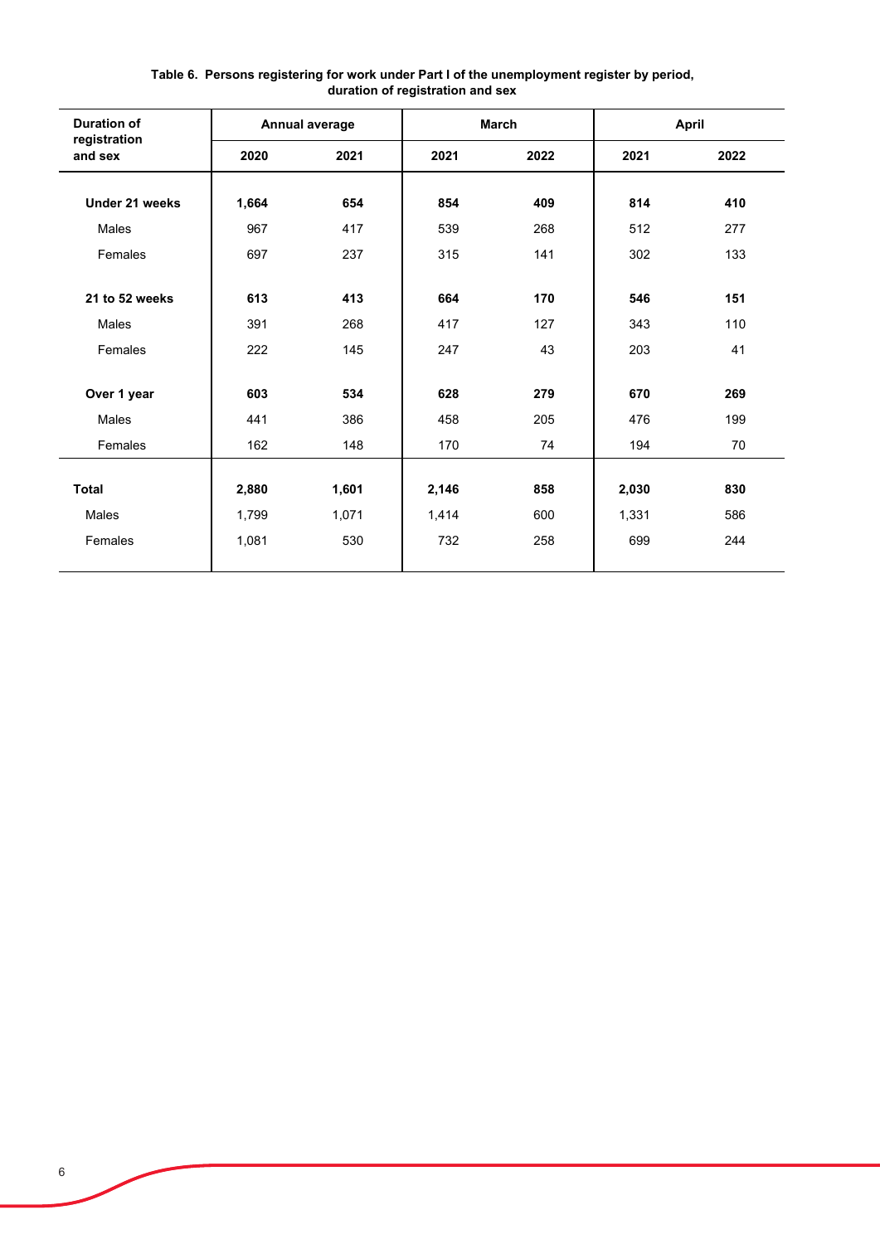| <b>Duration of</b>      |       | <b>Annual average</b> |       | <b>March</b> |       | April |
|-------------------------|-------|-----------------------|-------|--------------|-------|-------|
| registration<br>and sex | 2020  | 2021                  | 2021  | 2022         | 2021  | 2022  |
| Under 21 weeks          |       |                       | 854   | 409          |       |       |
|                         | 1,664 | 654                   |       |              | 814   | 410   |
| Males                   | 967   | 417                   | 539   | 268          | 512   | 277   |
| Females                 | 697   | 237                   | 315   | 141          | 302   | 133   |
|                         |       |                       |       |              |       |       |
| 21 to 52 weeks          | 613   | 413                   | 664   | 170          | 546   | 151   |
| Males                   | 391   | 268                   | 417   | 127          | 343   | 110   |
| Females                 | 222   | 145                   | 247   | 43           | 203   | 41    |
|                         |       |                       |       |              |       |       |
| Over 1 year             | 603   | 534                   | 628   | 279          | 670   | 269   |
| Males                   | 441   | 386                   | 458   | 205          | 476   | 199   |
| Females                 | 162   | 148                   | 170   | 74           | 194   | 70    |
|                         |       |                       |       |              |       |       |
| <b>Total</b>            | 2,880 | 1,601                 | 2,146 | 858          | 2,030 | 830   |
| Males                   | 1,799 | 1,071                 | 1,414 | 600          | 1,331 | 586   |
| Females                 | 1,081 | 530                   | 732   | 258          | 699   | 244   |
|                         |       |                       |       |              |       |       |

### **Table 6. Persons registering for work under Part I of the unemployment register by period, duration of registration and sex**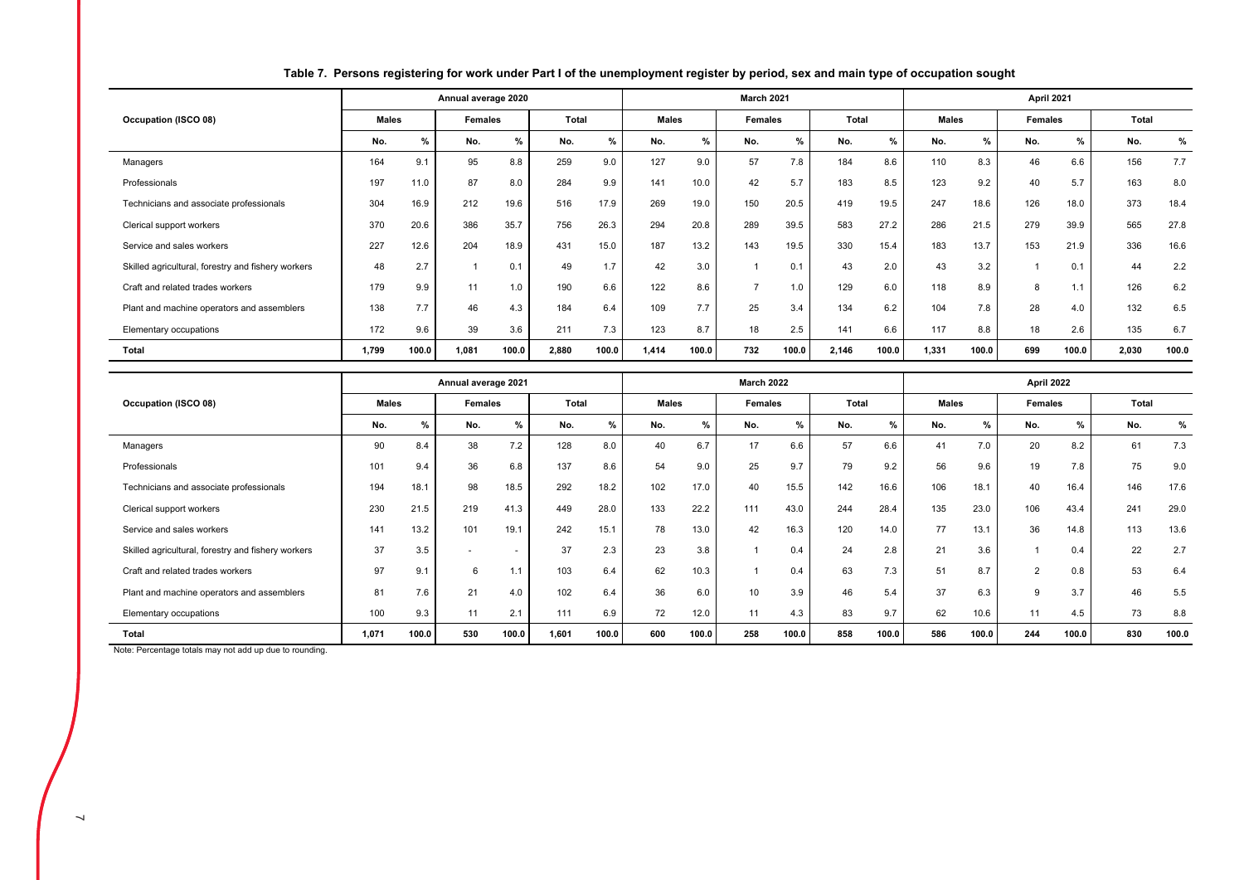|                                                    |              |               | Annual average 2020 |       |       |       |              |       | <b>March 2021</b> |       |       |       |              |               | April 2021     |       |       |       |
|----------------------------------------------------|--------------|---------------|---------------------|-------|-------|-------|--------------|-------|-------------------|-------|-------|-------|--------------|---------------|----------------|-------|-------|-------|
| Occupation (ISCO 08)                               | <b>Males</b> |               | Females             |       | Total |       | <b>Males</b> |       | <b>Females</b>    |       | Total |       | <b>Males</b> |               | <b>Females</b> |       | Total |       |
|                                                    | No.          | $\frac{9}{6}$ | No.                 | %     | No.   | $\%$  | No.          | %     | No.               | $\%$  | No.   | %     | No.          | $\frac{9}{6}$ | No.            | %     | No.   | %     |
| Managers                                           | 164          | 9.1           | 95                  | 8.8   | 259   | 9.0   | 127          | 9.0   | 57                | 7.8   | 184   | 8.6   | 110          | 8.3           | 46             | 6.6   | 156   | 7.7   |
| Professionals                                      | 197          | 11.0          | 87                  | 8.0   | 284   | 9.9   | 141          | 10.0  | 42                | 5.7   | 183   | 8.5   | 123          | 9.2           | 40             | 5.7   | 163   | 8.0   |
| Technicians and associate professionals            | 304          | 16.9          | 212                 | 19.6  | 516   | 17.9  | 269          | 19.0  | 150               | 20.5  | 419   | 19.5  | 247          | 18.6          | 126            | 18.0  | 373   | 18.4  |
| Clerical support workers                           | 370          | 20.6          | 386                 | 35.7  | 756   | 26.3  | 294          | 20.8  | 289               | 39.5  | 583   | 27.2  | 286          | 21.5          | 279            | 39.9  | 565   | 27.8  |
| Service and sales workers                          | 227          | 12.6          | 204                 | 18.9  | 431   | 15.0  | 187          | 13.2  | 143               | 19.5  | 330   | 15.4  | 183          | 13.7          | 153            | 21.9  | 336   | 16.6  |
| Skilled agricultural, forestry and fishery workers | 48           | 2.7           |                     | 0.1   | 49    | 1.7   | 42           | 3.0   |                   | 0.1   | 43    | 2.0   | 43           | 3.2           |                | 0.1   | 44    | 2.2   |
| Craft and related trades workers                   | 179          | 9.9           | 11                  | 1.0   | 190   | 6.6   | 122          | 8.6   | $\rightarrow$     | 1.0   | 129   | 6.0   | 118          | 8.9           | 8              | 1.1   | 126   | 6.2   |
| Plant and machine operators and assemblers         | 138          | 7.7           | 46                  | 4.3   | 184   | 6.4   | 109          | 7.7   | 25                | 3.4   | 134   | 6.2   | 104          | 7.8           | 28             | 4.0   | 132   | 6.5   |
| Elementary occupations                             | 172          | 9.6           | 39                  | 3.6   | 211   | 7.3   | 123          | 8.7   | 18                | 2.5   | 141   | 6.6   | 117          | 8.8           | 18             | 2.6   | 135   | 6.7   |
| <b>Total</b>                                       | 1,799        | 100.0         | 1,081               | 100.0 | 2,880 | 100.0 | 1,414        | 100.0 | 732               | 100.0 | 2,146 | 100.0 | 1,331        | 100.0         | 699            | 100.0 | 2,030 | 100.0 |

### **Table 7. Persons registering for work under Part I of the unemployment register by period, sex and main type of occupation sought**

|                                                    |              |               | Annual average 2021 |                          |       |       |              |       | <b>March 2022</b> |       |              |       |              |       | April 2022     |       |       |       |
|----------------------------------------------------|--------------|---------------|---------------------|--------------------------|-------|-------|--------------|-------|-------------------|-------|--------------|-------|--------------|-------|----------------|-------|-------|-------|
| Occupation (ISCO 08)                               | <b>Males</b> |               | <b>Females</b>      |                          | Total |       | <b>Males</b> |       | <b>Females</b>    |       | <b>Total</b> |       | <b>Males</b> |       | <b>Females</b> |       | Total |       |
|                                                    | No.          | $\frac{9}{6}$ | No.                 | %                        | No.   | $\%$  | No.          | %     | No.               | %     | No.          | $\%$  | No.          | %     | No.            | %     | No.   | %     |
| Managers                                           | 90           | 8.4           | 38                  | 7.2                      | 128   | 8.0   | 40           | 6.7   | 17                | 6.6   | 57           | 6.6   | 41           | 7.0   | 20             | 8.2   | 61    | 7.3   |
| Professionals                                      | 101          | 9.4           | 36                  | 6.8                      | 137   | 8.6   | 54           | 9.0   | 25                | 9.7   | 79           | 9.2   | 56           | 9.6   | 19             | 7.8   | 75    | 9.0   |
| Technicians and associate professionals            | 194          | 18.1          | 98                  | 18.5                     | 292   | 18.2  | 102          | 17.0  | 40                | 15.5  | 142          | 16.6  | 106          | 18.1  | 40             | 16.4  | 146   | 17.6  |
| Clerical support workers                           | 230          | 21.5          | 219                 | 41.3                     | 449   | 28.0  | 133          | 22.2  | 111               | 43.0  | 244          | 28.4  | 135          | 23.0  | 106            | 43.4  | 241   | 29.0  |
| Service and sales workers                          | 141          | 13.2          | 101                 | 19.1                     | 242   | 15.1  | 78           | 13.0  | 42                | 16.3  | 120          | 14.0  | 77           | 13.1  | 36             | 14.8  | 113   | 13.6  |
| Skilled agricultural, forestry and fishery workers | 37           | 3.5           |                     | $\overline{\phantom{a}}$ | 37    | 2.3   | 23           | 3.8   |                   | 0.4   | 24           | 2.8   | 21           | 3.6   |                | 0.4   | 22    | 2.7   |
| Craft and related trades workers                   | 97           | 9.1           | 6                   | 1.1                      | 103   | 6.4   | 62           | 10.3  |                   | 0.4   | 63           | 7.3   | 51           | 8.7   | 2              | 0.8   | 53    | 6.4   |
| Plant and machine operators and assemblers         | 81           | 7.6           | 21                  | 4.0                      | 102   | 6.4   | 36           | 6.0   | 10                | 3.9   | 46           | 5.4   | 37           | 6.3   | 9              | 3.7   | 46    | 5.5   |
| Elementary occupations                             | 100          | 9.3           | 11                  | 2.1                      | 111   | 6.9   | 72           | 12.0  | 11                | 4.3   | 83           | 9.7   | 62           | 10.6  | 11             | 4.5   | 73    | 8.8   |
| Total                                              | 1.071        | 100.0         | 530                 | 100.0                    | 1.601 | 100.0 | 600          | 100.0 | 258               | 100.0 | 858          | 100.0 | 586          | 100.0 | 244            | 100.0 | 830   | 100.0 |

Note: Percentage totals may not add up due to rounding.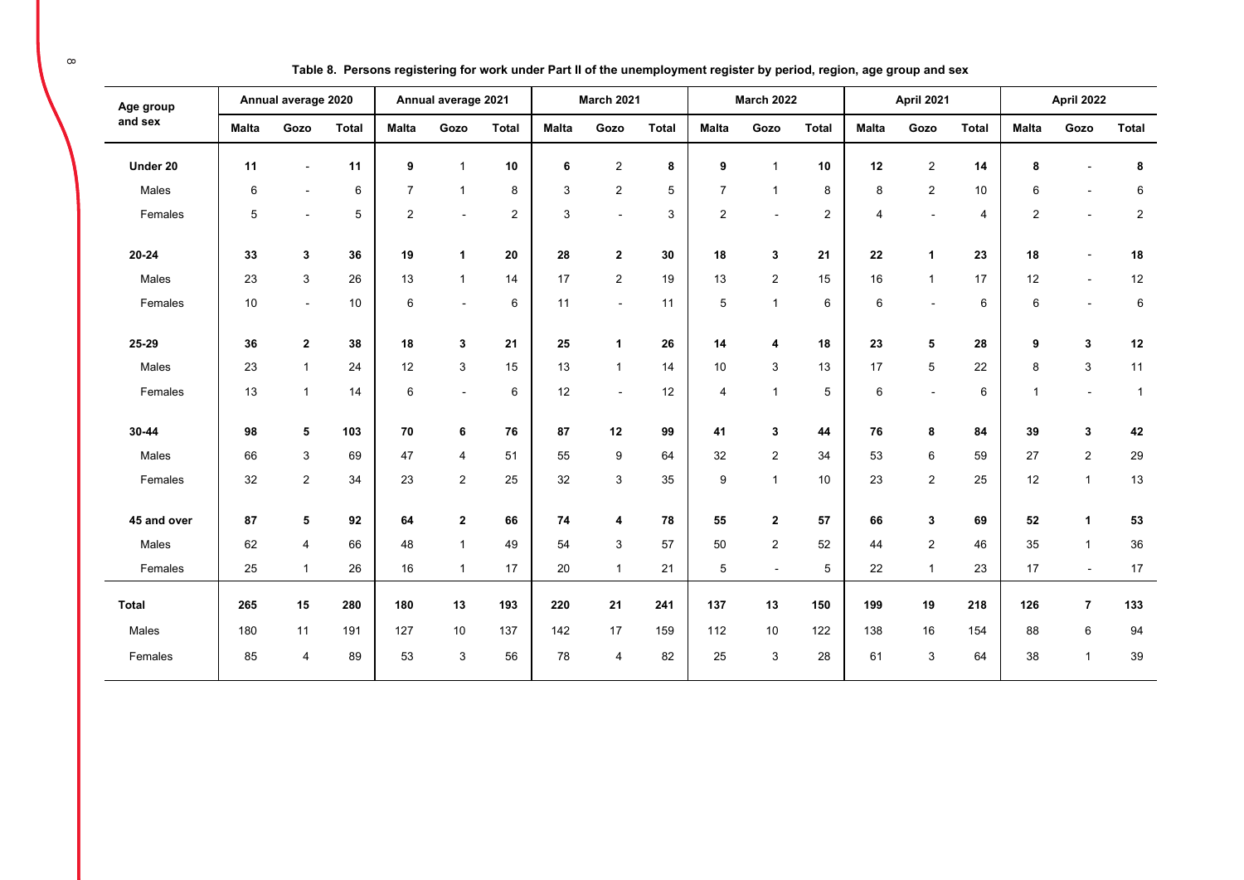| Age group    |              | Annual average 2020 |              |                | Annual average 2021      |                |              | <b>March 2021</b> |              |                | <b>March 2022</b> |                |                 | April 2021     |              |                | <b>April 2022</b> |                |
|--------------|--------------|---------------------|--------------|----------------|--------------------------|----------------|--------------|-------------------|--------------|----------------|-------------------|----------------|-----------------|----------------|--------------|----------------|-------------------|----------------|
| and sex      | <b>Malta</b> | Gozo                | <b>Total</b> | <b>Malta</b>   | Gozo                     | <b>Total</b>   | <b>Malta</b> | Gozo              | <b>Total</b> | <b>Malta</b>   | Gozo              | <b>Total</b>   | <b>Malta</b>    | Gozo           | <b>Total</b> | <b>Malta</b>   | Gozo              | <b>Total</b>   |
| Under 20     | 11           |                     | 11           | 9              | $\mathbf 1$              | 10             | 6            | $\overline{c}$    | 8            | 9              | $\overline{1}$    | 10             | 12              | $\overline{2}$ | 14           | 8              |                   | 8              |
| Males        | 6            | $\blacksquare$      | 6            | $\overline{7}$ | $\mathbf{1}$             | 8              | 3            | 2                 | 5            | $\overline{7}$ | $\overline{1}$    | 8              | 8               | $\overline{2}$ | 10           | 6              |                   | 6              |
| Females      | 5            |                     | 5            | $\overline{2}$ |                          | $\overline{2}$ | 3            | $\sim$            | 3            | $\overline{2}$ |                   | $\overline{2}$ | $\overline{4}$  | $\overline{a}$ | 4            | $\overline{2}$ | $\sim$            | $\overline{c}$ |
| 20-24        | 33           | 3                   | 36           | 19             | $\mathbf{1}$             | 20             | 28           | $\mathbf{2}$      | 30           | 18             | 3                 | 21             | 22              | $\mathbf{1}$   | 23           | 18             |                   | 18             |
| Males        | 23           | $\mathbf{3}$        | 26           | 13             | $\mathbf{1}$             | 14             | 17           | $\overline{2}$    | 19           | 13             | $\sqrt{2}$        | 15             | 16              | $\overline{1}$ | 17           | 12             | $\sim$            | 12             |
| Females      | 10           | $\blacksquare$      | 10           | 6              | $\overline{\phantom{a}}$ | 6              | 11           | $\blacksquare$    | 11           | 5              | $\mathbf{1}$      | 6              | $6\phantom{1}6$ | $\blacksquare$ | 6            | 6              |                   | 6              |
| 25-29        | 36           | $\mathbf{2}$        | 38           | 18             | 3                        | 21             | 25           | $\mathbf{1}$      | 26           | 14             | 4                 | 18             | 23              | 5              | 28           | 9              | 3                 | 12             |
| Males        | 23           | $\mathbf{1}$        | 24           | 12             | 3                        | 15             | 13           | $\mathbf{1}$      | 14           | 10             | 3                 | 13             | 17              | 5              | 22           | 8              | 3                 | 11             |
| Females      | 13           | $\mathbf{1}$        | 14           | 6              | $\overline{a}$           | 6              | 12           | $\sim$            | 12           | 4              | $\overline{1}$    | 5              | 6               | $\overline{a}$ | 6            | $\mathbf{1}$   | $\sim$            | $\overline{1}$ |
| 30-44        | 98           | 5                   | 103          | 70             | 6                        | 76             | 87           | 12                | 99           | 41             | 3                 | 44             | 76              | 8              | 84           | 39             | 3                 | 42             |
| Males        | 66           | 3                   | 69           | 47             | $\overline{4}$           | 51             | 55           | 9                 | 64           | 32             | 2                 | 34             | 53              | 6              | 59           | 27             | $\overline{2}$    | 29             |
| Females      | 32           | $\overline{2}$      | 34           | 23             | $\overline{2}$           | 25             | 32           | 3                 | 35           | 9              | $\mathbf{1}$      | 10             | 23              | $\overline{2}$ | 25           | 12             | $\mathbf{1}$      | 13             |
| 45 and over  | 87           | 5                   | 92           | 64             | $\mathbf{2}$             | 66             | 74           | 4                 | 78           | 55             | $\mathbf{2}$      | 57             | 66              | 3              | 69           | 52             | $\mathbf{1}$      | 53             |
| Males        | 62           | 4                   | 66           | 48             | $\mathbf{1}$             | 49             | 54           | 3                 | 57           | 50             | 2                 | 52             | 44              | $\overline{2}$ | 46           | 35             | $\mathbf{1}$      | 36             |
| Females      | 25           | $\mathbf{1}$        | 26           | 16             | $\mathbf{1}$             | 17             | 20           | $\overline{1}$    | 21           | 5              | $\overline{a}$    | 5              | 22              | $\mathbf{1}$   | 23           | 17             | $\sim$            | 17             |
| <b>Total</b> | 265          | 15                  | 280          | 180            | 13                       | 193            | 220          | 21                | 241          | 137            | 13                | 150            | 199             | 19             | 218          | 126            | $\overline{7}$    | 133            |
| Males        | 180          | 11                  | 191          | 127            | 10                       | 137            | 142          | 17                | 159          | 112            | 10                | 122            | 138             | 16             | 154          | 88             | 6                 | 94             |
| Females      | 85           | $\overline{4}$      | 89           | 53             | 3                        | 56             | 78           | $\overline{4}$    | 82           | 25             | 3                 | 28             | 61              | 3              | 64           | 38             | $\mathbf{1}$      | 39             |

**Table 8. Persons registering for work under Part II of the unemployment register by period, region, age group and sex**

 $\infty$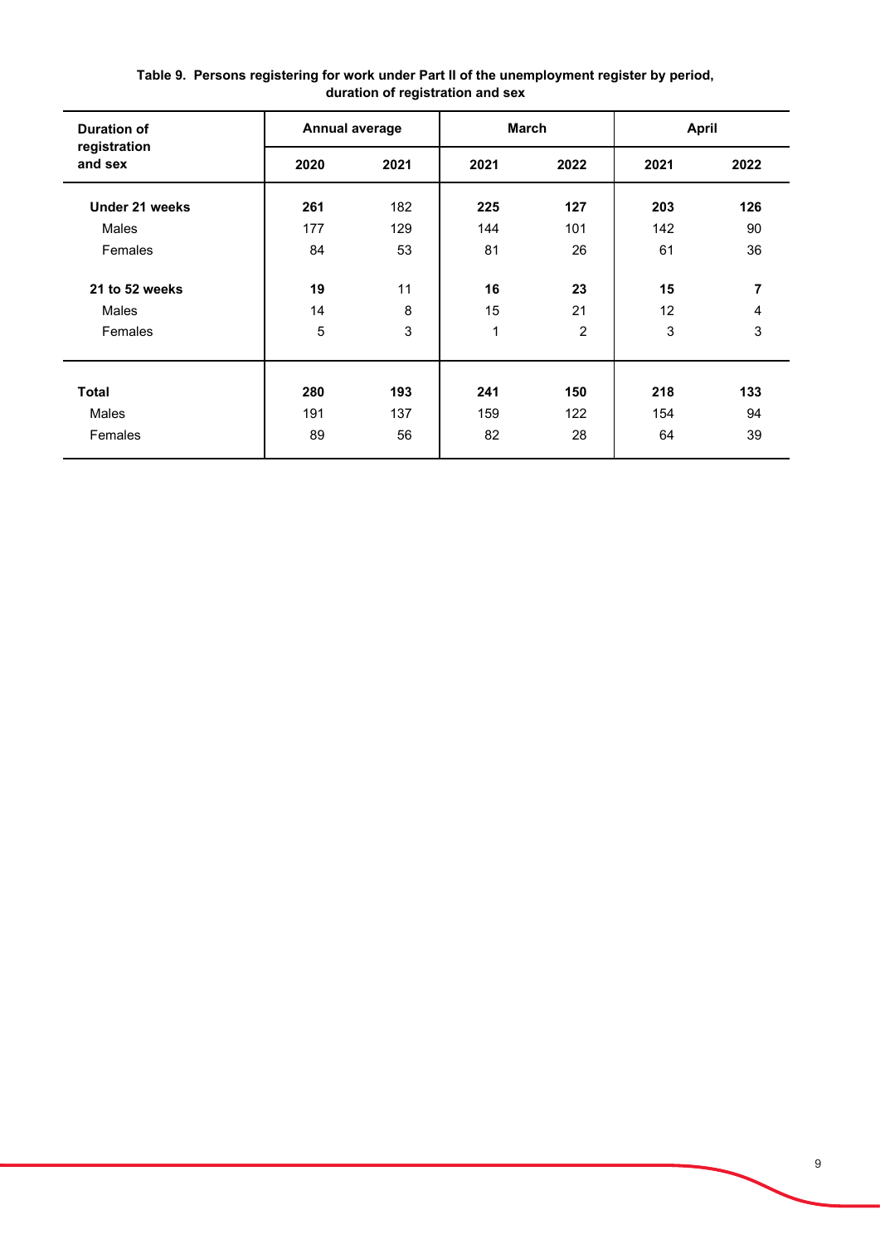| <b>Duration of</b>      | Annual average |      |      | <b>March</b>   | <b>April</b> |      |
|-------------------------|----------------|------|------|----------------|--------------|------|
| registration<br>and sex | 2020           | 2021 | 2021 | 2022           | 2021         | 2022 |
| Under 21 weeks          | 261            | 182  | 225  | 127            | 203          | 126  |
| Males                   | 177            | 129  | 144  | 101            | 142          | 90   |
| Females                 | 84             | 53   | 81   | 26             | 61           | 36   |
| 21 to 52 weeks          | 19             | 11   | 16   | 23             | 15           | 7    |
| Males                   | 14             | 8    | 15   | 21             | 12           | 4    |
| Females                 | 5              | 3    | 1    | $\overline{2}$ | 3            | 3    |
|                         |                |      |      |                |              |      |
| <b>Total</b>            | 280            | 193  | 241  | 150            | 218          | 133  |
| Males                   | 191            | 137  | 159  | 122            | 154          | 94   |
| Females                 | 89             | 56   | 82   | 28             | 64           | 39   |

**Table 9. Persons registering for work under Part II of the unemployment register by period, duration of registration and sex**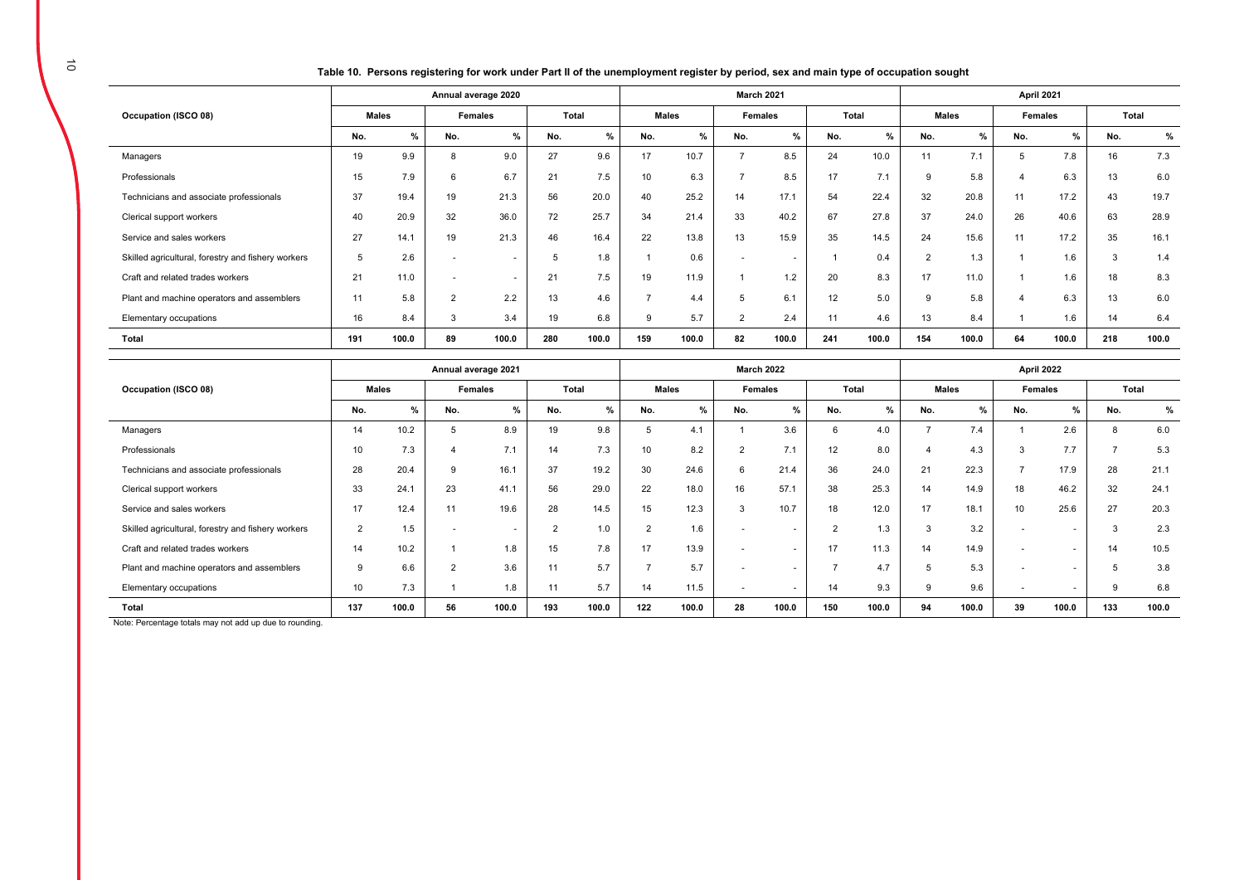**Table 10. Persons registering for work under Part II of the unemployment register by period, sex and main type of occupation sought** 

|                                                    |     |              |                | Annual average 2020 |     |               |          |              |                          | <b>March 2021</b> |     |       |                |       | April 2021 |         |       |       |
|----------------------------------------------------|-----|--------------|----------------|---------------------|-----|---------------|----------|--------------|--------------------------|-------------------|-----|-------|----------------|-------|------------|---------|-------|-------|
| Occupation (ISCO 08)                               |     | <b>Males</b> |                | <b>Females</b>      |     | <b>Total</b>  |          | <b>Males</b> |                          | Females           |     | Total | <b>Males</b>   |       |            | Females | Total |       |
|                                                    | No. | %            | No.            | %                   | No. | $\frac{9}{6}$ | No.      | %            | No.                      | %                 | No. | $\%$  | No.            | %     | No.        | %       | No.   | $\%$  |
| Managers                                           | 19  | 9.9          |                | 9.0                 | 27  | 9.6           | 17       | 10.7         |                          | 8.5               | 24  | 10.0  | 11             | 7.1   | 5          | 7.8     | 16    | 7.3   |
| Professionals                                      | 15  | 7.9          | 6              | 6.7                 | 21  | 7.5           | 10       | 6.3          | -                        | 8.5               | 17  | 7.1   | 9              | 5.8   |            | 6.3     | 13    | 6.0   |
| Technicians and associate professionals            | 37  | 19.4         | 19             | 21.3                | 56  | 20.0          | 40       | 25.2         | 14                       | 17.1              | 54  | 22.4  | 32             | 20.8  | 11         | 17.2    | 43    | 19.7  |
| Clerical support workers                           | 40  | 20.9         | 32             | 36.0                | 72  | 25.7          | 34       | 21.4         | 33                       | 40.2              | 67  | 27.8  | 37             | 24.0  | 26         | 40.6    | 63    | 28.9  |
| Service and sales workers                          | 27  | 14.1         | 19             | 21.3                | 46  | 16.4          | 22       | 13.8         | 13                       | 15.9              | 35  | 14.5  | 24             | 15.6  | 11         | 17.2    | 35    | 16.1  |
| Skilled agricultural, forestry and fishery workers | 5   | 2.6          |                | $\sim$              |     | 1.8           |          | 0.6          | $\overline{\phantom{a}}$ | $\overline{a}$    |     | 0.4   | $\overline{2}$ | 1.3   |            | 1.6     | 3     | 1.4   |
| Craft and related trades workers                   | 21  | 11.0         |                | $\sim$              | 21  | 7.5           | 19       | 11.9         |                          | 1.2               | 20  | 8.3   | 17             | 11.0  |            | 1.6     | 18    | 8.3   |
| Plant and machine operators and assemblers         | 11  | 5.8          | $\overline{2}$ | 2.2                 | 13  | 4.6           | -        | 4.4          | 5                        | 6.1               | 12  | 5.0   | $\mathbf{Q}$   | 5.8   |            | 6.3     | 13    | 6.0   |
| Elementary occupations                             | 16  | 8.4          | -5             | 3.4                 | 19  | 6.8           | <b>g</b> | 5.7          | $\overline{2}$           | 2.4               | 11  | 4.6   | 13             | 8.4   |            | 1.6     | 14    | 6.4   |
| Total                                              | 191 | 100.0        | 89             | 100.0               | 280 | 100.0         | 159      | 100.0        | 82                       | 100.0             | 241 | 100.0 | 154            | 100.0 | 64         | 100.0   | 218   | 100.0 |

|                                                    | Annual average 2021 |       |                |        |        |               | <b>March 2022</b>        |               |                |                          |            |       | April 2022   |       |                          |        |               |       |
|----------------------------------------------------|---------------------|-------|----------------|--------|--------|---------------|--------------------------|---------------|----------------|--------------------------|------------|-------|--------------|-------|--------------------------|--------|---------------|-------|
| Occupation (ISCO 08)                               | <b>Males</b>        |       | Females        |        | Total  |               | <b>Males</b>             |               | Females        |                          | Total      |       | <b>Males</b> |       | Females                  |        | Total         |       |
|                                                    | No.                 | %     | No.            | %      | No.    | $\frac{9}{6}$ | No.                      | $\frac{9}{6}$ | No.            | $\%$                     | No.        | %     | No.          | $\%$  | No.                      | %      | No.           | %     |
| Managers                                           | 14                  | 10.2  | 5              | 8.9    | 19     | 9.8           | 5                        | 4.1           |                | 3.6                      | $\epsilon$ | 4.0   |              | 7.4   |                          | 2.6    | 8             | 6.0   |
| Professionals                                      | 10                  | 7.3   |                | 7.1    | 14     | 7.3           | 10                       | 8.2           | $\overline{2}$ | 7.1                      | 12         | 8.0   |              | 4.3   |                          | 7.7    | $\rightarrow$ | 5.3   |
| Technicians and associate professionals            | 28                  | 20.4  |                | 16.1   | 37     | 19.2          | 30                       | 24.6          | 6              | 21.4                     | 36         | 24.0  | 21           | 22.3  |                          | 17.9   | 28            | 21.1  |
| Clerical support workers                           | 33                  | 24.7  | 23             | 41.1   | 56     | 29.0          | 22                       | 18.0          | 16             | 57.1                     | 38         | 25.3  | 14           | 14.9  | 18                       | 46.2   | 32            | 24.1  |
| Service and sales workers                          | 17                  | 12.4  | 11             | 19.6   | 28     | 14.5          | 15                       | 12.3          | 3              | 10.7                     | 18         | 12.0  | 17           | 18.1  | 10                       | 25.6   | 27            | 20.3  |
| Skilled agricultural, forestry and fishery workers | $\overline{2}$      | 1.5   |                | $\sim$ | $\sim$ | 1.0           | $\overline{2}$           | 1.6           | . .            | $\overline{\phantom{a}}$ | $\Omega$   | 1.3   | 3            | 3.2   | $\overline{\phantom{a}}$ |        | 3             | 2.3   |
| Craft and related trades workers                   | 14                  | 10.2  |                | 1.8    | 15     | 7.8           | 17                       | 13.9          |                |                          | 17         | 11.3  | 14           | 14.9  |                          |        | 14            | 10.5  |
| Plant and machine operators and assemblers         | 9                   | 6.6   | $\overline{2}$ | 3.6    | 11     | 5.7           | $\overline{\phantom{0}}$ | 5.7           |                |                          |            | 4.7   |              | 5.3   |                          | $\sim$ | 5             | 3.8   |
| Elementary occupations                             | 10                  | 7.3   |                | 1.8    | 11     | 5.7           | 14                       | 11.5          | . .            | $\overline{\phantom{a}}$ | 14         | 9.3   | 9            | 9.6   |                          |        | 9             | 6.8   |
| Total                                              | 137                 | 100.0 | 56             | 100.0  | 193    | 100.0         | 122                      | 100.0         | 28             | 100.0                    | 150        | 100.0 | 94           | 100.0 | 39                       | 100.0  | 133           | 100.0 |

Note: Percentage totals may not add up due to rounding.

 $\overline{\phantom{a}}$